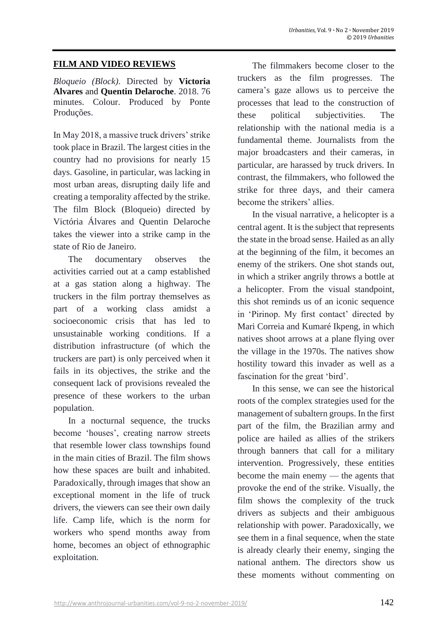## **FILM AND VIDEO REVIEWS**

*Bloqueio (Block)*. Directed by **Victoria Alvares** and **Quentin Delaroche**. 2018. 76 minutes. Colour. Produced by Ponte Produções.

In May 2018, a massive truck drivers' strike took place in Brazil. The largest cities in the country had no provisions for nearly 15 days. Gasoline, in particular, was lacking in most urban areas, disrupting daily life and creating a temporality affected by the strike. The film Block (Bloqueio) directed by Victória Álvares and Quentin Delaroche takes the viewer into a strike camp in the state of Rio de Janeiro.

The documentary observes the activities carried out at a camp established at a gas station along a highway. The truckers in the film portray themselves as part of a working class amidst a socioeconomic crisis that has led to unsustainable working conditions. If a distribution infrastructure (of which the truckers are part) is only perceived when it fails in its objectives, the strike and the consequent lack of provisions revealed the presence of these workers to the urban population.

In a nocturnal sequence, the trucks become 'houses', creating narrow streets that resemble lower class townships found in the main cities of Brazil. The film shows how these spaces are built and inhabited. Paradoxically, through images that show an exceptional moment in the life of truck drivers, the viewers can see their own daily life. Camp life, which is the norm for workers who spend months away from home, becomes an object of ethnographic exploitation.

The filmmakers become closer to the truckers as the film progresses. The camera's gaze allows us to perceive the processes that lead to the construction of these political subjectivities. The relationship with the national media is a fundamental theme. Journalists from the major broadcasters and their cameras, in particular, are harassed by truck drivers. In contrast, the filmmakers, who followed the strike for three days, and their camera become the strikers' allies.

In the visual narrative, a helicopter is a central agent. It is the subject that represents the state in the broad sense. Hailed as an ally at the beginning of the film, it becomes an enemy of the strikers. One shot stands out, in which a striker angrily throws a bottle at a helicopter. From the visual standpoint, this shot reminds us of an iconic sequence in 'Pirinop. My first contact' directed by Mari Correia and Kumaré Ikpeng, in which natives shoot arrows at a plane flying over the village in the 1970s. The natives show hostility toward this invader as well as a fascination for the great 'bird'.

In this sense, we can see the historical roots of the complex strategies used for the management of subaltern groups. In the first part of the film, the Brazilian army and police are hailed as allies of the strikers through banners that call for a military intervention. Progressively, these entities become the main enemy — the agents that provoke the end of the strike. Visually, the film shows the complexity of the truck drivers as subjects and their ambiguous relationship with power. Paradoxically, we see them in a final sequence, when the state is already clearly their enemy, singing the national anthem. The directors show us these moments without commenting on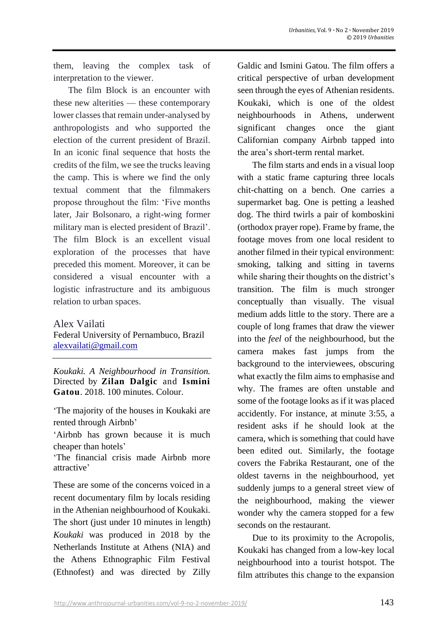them, leaving the complex task of interpretation to the viewer.

The film Block is an encounter with these new alterities — these contemporary lower classes that remain under-analysed by anthropologists and who supported the election of the current president of Brazil. In an iconic final sequence that hosts the credits of the film, we see the trucks leaving the camp. This is where we find the only textual comment that the filmmakers propose throughout the film: 'Five months later, Jair Bolsonaro, a right-wing former military man is elected president of Brazil'. The film Block is an excellent visual exploration of the processes that have preceded this moment. Moreover, it can be considered a visual encounter with a logistic infrastructure and its ambiguous relation to urban spaces.

Alex Vailati Federal University of Pernambuco, Brazil [alexvailati@gmail.com](mailto:alexvailati@gmail.com)

*Koukaki. A Neighbourhood in Transition.*  Directed by **[Zilan Dalgic](https://www.ethnofest.gr/directors/zilan-dalgic/)** and **[Ismini](https://www.ethnofest.gr/directors/ismini-gatou/)  [Gatou](https://www.ethnofest.gr/directors/ismini-gatou/)**. 2018. 100 minutes. Colour.

'The majority of the houses in Koukaki are rented through Airbnb'

'Airbnb has grown because it is much cheaper than hotels'

'The financial crisis made Airbnb more attractive'

These are some of the concerns voiced in a recent documentary film by locals residing in the Athenian neighbourhood of Koukaki. The short (just under 10 minutes in length) *Koukaki* was produced in 2018 by the Netherlands Institute at Athens (NIA) and the Athens Ethnographic Film Festival (Ethnofest) and was directed by Zilly

Galdic and Ismini Gatou. The film offers a critical perspective of urban development seen through the eyes of Athenian residents. Koukaki, which is one of the oldest neighbourhoods in Athens, underwent significant changes once the giant Californian company Airbnb tapped into the area's short-term rental market.

The film starts and ends in a visual loop with a static frame capturing three locals chit-chatting on a bench. One carries a supermarket bag. One is petting a leashed dog. The third twirls a pair of komboskini (orthodox prayer rope). Frame by frame, the footage moves from one local resident to another filmed in their typical environment: smoking, talking and sitting in taverns while sharing their thoughts on the district's transition. The film is much stronger conceptually than visually. The visual medium adds little to the story. There are a couple of long frames that draw the viewer into the *feel* of the neighbourhood, but the camera makes fast jumps from the background to the interviewees, obscuring what exactly the film aims to emphasise and why. The frames are often unstable and some of the footage looks as if it was placed accidently. For instance, at minute 3:55, a resident asks if he should look at the camera, which is something that could have been edited out. Similarly, the footage covers the Fabrika Restaurant, one of the oldest taverns in the neighbourhood, yet suddenly jumps to a general street view of the neighbourhood, making the viewer wonder why the camera stopped for a few seconds on the restaurant.

Due to its proximity to the Acropolis, Koukaki has changed from a low-key local neighbourhood into a tourist hotspot. The film attributes this change to the expansion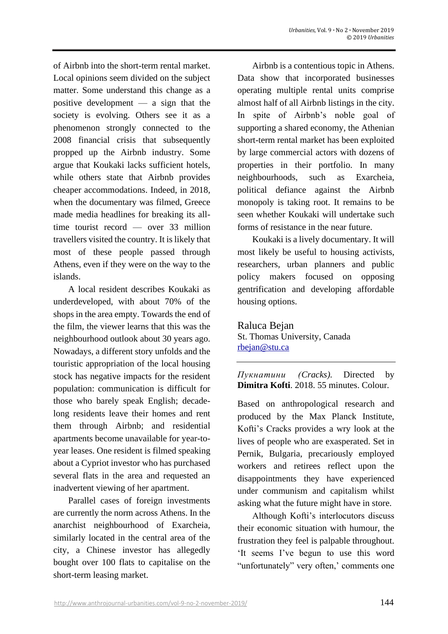of Airbnb into the short-term rental market. Local opinions seem divided on the subject matter. Some understand this change as a positive development — a sign that the society is evolving. Others see it as a phenomenon strongly connected to the 2008 financial crisis that subsequently propped up the Airbnb industry. Some argue that Koukaki lacks sufficient hotels, while others state that Airbnb provides cheaper accommodations. Indeed, in 2018, when the documentary was filmed, Greece made media headlines for breaking its alltime tourist record — over 33 million travellers visited the country. It is likely that most of these people passed through Athens, even if they were on the way to the islands.

A local resident describes Koukaki as underdeveloped, with about 70% of the shops in the area empty. Towards the end of the film, the viewer learns that this was the neighbourhood outlook about 30 years ago. Nowadays, a different story unfolds and the touristic appropriation of the local housing stock has negative impacts for the resident population: communication is difficult for those who barely speak English; decadelong residents leave their homes and rent them through Airbnb; and residential apartments become unavailable for year-toyear leases. One resident is filmed speaking about a Cypriot investor who has purchased several flats in the area and requested an inadvertent viewing of her apartment.

Parallel cases of foreign investments are currently the norm across Athens. In the anarchist neighbourhood of Exarcheia, similarly located in the central area of the city, a Chinese investor has allegedly bought over 100 flats to capitalise on the short-term leasing market.

Airbnb is a contentious topic in Athens. Data show that incorporated businesses operating multiple rental units comprise almost half of all Airbnb listings in the city. In spite of Airbnb's noble goal of supporting a shared economy, the Athenian short-term rental market has been exploited by large commercial actors with dozens of properties in their portfolio. In many neighbourhoods, such as Exarcheia, political defiance against the Airbnb monopoly is taking root. It remains to be seen whether Koukaki will undertake such forms of resistance in the near future.

Koukaki is a lively documentary. It will most likely be useful to housing activists, researchers, urban planners and public policy makers focused on opposing gentrification and developing affordable housing options.

Raluca Bejan St. Thomas University, Canada [rbejan@stu.ca](mailto:rbejan@stu.ca)

*Пукнатини (Cracks).* Directed by **Dimitra Kofti**. 2018. 55 minutes. Colour.

Based on anthropological research and produced by the Max Planck Institute, Kofti's Cracks provides a wry look at the lives of people who are exasperated. Set in Pernik, Bulgaria, precariously employed workers and retirees reflect upon the disappointments they have experienced under communism and capitalism whilst asking what the future might have in store.

Although Kofti's interlocutors discuss their economic situation with humour, the frustration they feel is palpable throughout. 'It seems I've begun to use this word "unfortunately" very often,' comments one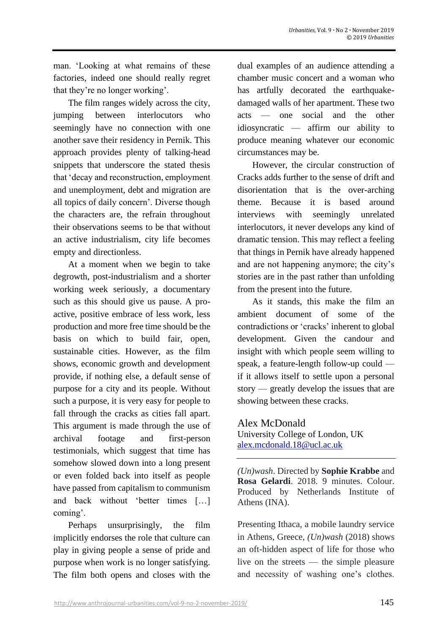man. 'Looking at what remains of these factories, indeed one should really regret that they're no longer working'.

The film ranges widely across the city, jumping between interlocutors who seemingly have no connection with one another save their residency in Pernik. This approach provides plenty of talking-head snippets that underscore the stated thesis that 'decay and reconstruction, employment and unemployment, debt and migration are all topics of daily concern'. Diverse though the characters are, the refrain throughout their observations seems to be that without an active industrialism, city life becomes empty and directionless.

At a moment when we begin to take degrowth, post-industrialism and a shorter working week seriously, a documentary such as this should give us pause. A proactive, positive embrace of less work, less production and more free time should be the basis on which to build fair, open, sustainable cities. However, as the film shows, economic growth and development provide, if nothing else, a default sense of purpose for a city and its people. Without such a purpose, it is very easy for people to fall through the cracks as cities fall apart. This argument is made through the use of archival footage and first-person testimonials, which suggest that time has somehow slowed down into a long present or even folded back into itself as people have passed from capitalism to communism and back without 'better times […] coming'.

Perhaps unsurprisingly, the film implicitly endorses the role that culture can play in giving people a sense of pride and purpose when work is no longer satisfying. The film both opens and closes with the

dual examples of an audience attending a chamber music concert and a woman who has artfully decorated the earthquakedamaged walls of her apartment. These two acts — one social and the other idiosyncratic — affirm our ability to produce meaning whatever our economic circumstances may be.

However, the circular construction of Cracks adds further to the sense of drift and disorientation that is the over-arching theme. Because it is based around interviews with seemingly unrelated interlocutors, it never develops any kind of dramatic tension. This may reflect a feeling that things in Pernik have already happened and are not happening anymore; the city's stories are in the past rather than unfolding from the present into the future.

As it stands, this make the film an ambient document of some of the contradictions or 'cracks' inherent to global development. Given the candour and insight with which people seem willing to speak, a feature-length follow-up could if it allows itself to settle upon a personal story — greatly develop the issues that are showing between these cracks.

## Alex McDonald

University College of London, UK [alex.mcdonald.18@ucl.ac.uk](mailto:alex.mcdonald.18@ucl.ac.uk)

*(Un)wash*. Directed by **Sophie Krabbe** and **Rosa Gelardi**. 2018. 9 minutes. Colour. Produced by Netherlands Institute of Athens (INA).

Presenting Ithaca, a mobile laundry service in Athens, Greece, *(Un)wash* (2018) shows an oft-hidden aspect of life for those who live on the streets — the simple pleasure and necessity of washing one's clothes.